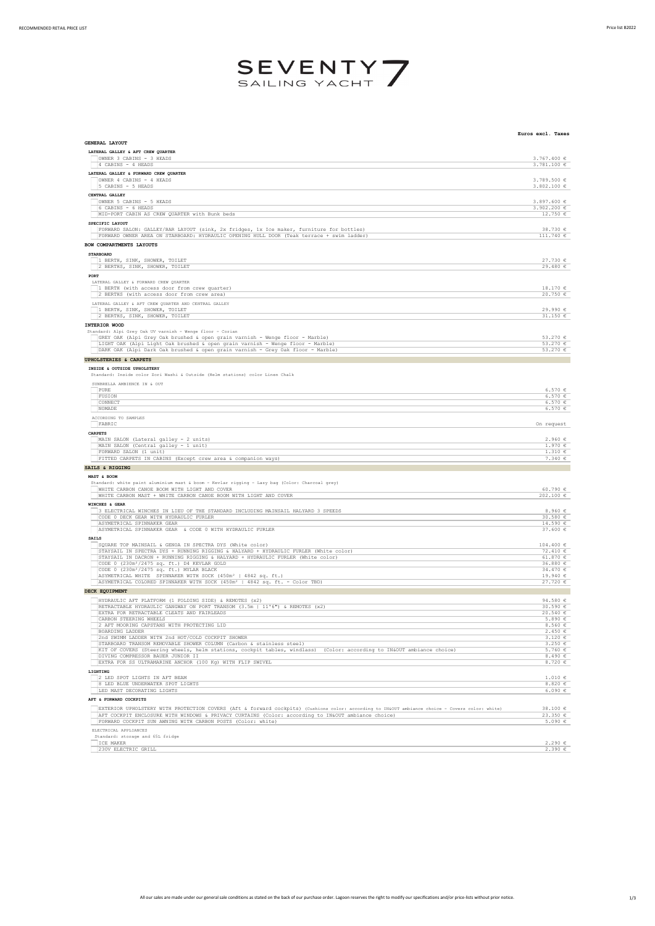

|                                                                                                                                                                                                                                                       | Euros excl. Taxes                            |
|-------------------------------------------------------------------------------------------------------------------------------------------------------------------------------------------------------------------------------------------------------|----------------------------------------------|
| GENERAL LAYOUT                                                                                                                                                                                                                                        |                                              |
| LATERAL GALLEY & AFT CREW QUARTER<br>OWNER 3 CABINS - 3 HEADS                                                                                                                                                                                         | 3.767.400E                                   |
| 4 CABINS - 4 HEADS                                                                                                                                                                                                                                    | 3.781.100 €                                  |
| LATERAL GALLEY & FORWARD CREW QUARTER                                                                                                                                                                                                                 |                                              |
| OWNER 4 CABINS - 4 HEADS<br>5 CABINS - 5 HEADS                                                                                                                                                                                                        | 3.789.500 €<br>3.802.100 €                   |
|                                                                                                                                                                                                                                                       |                                              |
| CENTRAL GALLEY<br>OWNER 5 CABINS - 5 HEADS                                                                                                                                                                                                            | $3.897.600 \in$                              |
| 6 CABINS - 6 HEADS                                                                                                                                                                                                                                    | 3.902.200 $E$                                |
| MID-PORT CABIN AS CREW QUARTER with Bunk beds                                                                                                                                                                                                         | 12.750 €                                     |
| SPECIFIC LAYOUT<br>FORWARD SALON: GALLEY/BAR LAYOUT (sink, 2x fridges, 1x Ice maker, furniture for bottles)                                                                                                                                           | 38.730 €                                     |
| FORWARD OWNER AREA ON STARBOARD: HYDRAULIC OPENING HULL DOOR (Teak terrace + swim ladder)                                                                                                                                                             | 111.740 €                                    |
| BOW COMPARTMENTS LAYOUTS                                                                                                                                                                                                                              |                                              |
| <b>STARBOARD</b>                                                                                                                                                                                                                                      |                                              |
| 1 BERTH, SINK, SHOWER, TOILET<br>2 BERTHS, SINK, SHOWER, TOILET                                                                                                                                                                                       | 27.730€<br>29.480 €                          |
| PORT                                                                                                                                                                                                                                                  |                                              |
| LATERAL GALLEY & FORWARD CREW OUARTER                                                                                                                                                                                                                 |                                              |
| 1 BERTH (with access door from crew quarter)                                                                                                                                                                                                          | 18.170 €<br>20.750 €                         |
| 2 BERTHS (with access door from crew area)                                                                                                                                                                                                            |                                              |
| LATERAL GALLEY & AFT CREW QUARTER AND CENTRAL GALLEY<br>1 BERTH, SINK, SHOWER, TOILET                                                                                                                                                                 | 29.990 €                                     |
| 2 BERTHS, SINK, SHOWER, TOILET                                                                                                                                                                                                                        | 31.150 €                                     |
| INTERIOR WOOD                                                                                                                                                                                                                                         |                                              |
| Standard: Alpi Grey Oak UV varnish - Wenge floor - Corian<br>GREY OAK (Alpi Grey Oak brushed & open grain varnish - Wenge floor - Marble)                                                                                                             | 53.270 €                                     |
| LIGHT OAK (Alpi Light Oak brushed & open grain varnish - Wenge floor - Marble)                                                                                                                                                                        | 53.270 €                                     |
| DARK OAK (Alpi Dark Oak brushed & open grain varnish - Grey Oak floor - Marble)                                                                                                                                                                       | 53.270 €                                     |
| <b>UPHOLSTERIES &amp; CARPETS</b>                                                                                                                                                                                                                     |                                              |
| INSIDE & OUTSIDE UPHOLSTERY                                                                                                                                                                                                                           |                                              |
| Standard: Inside color Zori Washi & Outside (Helm stations) color Linen Chalk                                                                                                                                                                         |                                              |
| SUNBRELLA AMBIENCE IN & OUT<br>PURE                                                                                                                                                                                                                   | 6.570€                                       |
| FUSION                                                                                                                                                                                                                                                | 6.570 $\in$                                  |
| CONNECT<br>NOMADE                                                                                                                                                                                                                                     | 6.570€<br>6.570€                             |
| ACCORDING TO SAMPLES                                                                                                                                                                                                                                  |                                              |
| FABRIC                                                                                                                                                                                                                                                | On request                                   |
| <b>CARPETS</b>                                                                                                                                                                                                                                        |                                              |
| MAIN SALON (Lateral galley - 2 units)                                                                                                                                                                                                                 | $2.960 \text{ } \in$<br>$1.970 \text{ } \in$ |
| MAIN SALON (Central galley - 1 unit)<br>FORWARD SALON (1 unit)                                                                                                                                                                                        | 1.310E                                       |
| FITTED CARPETS IN CABINS (Except crew area & companion ways)                                                                                                                                                                                          | $7.340 \in$                                  |
| SAILS & RIGGING                                                                                                                                                                                                                                       |                                              |
| MAST & BOOM                                                                                                                                                                                                                                           |                                              |
| Standard: white paint aluminium mast & boom - Kevlar rigging - Lazy bag (Color: Charcoal grey)<br>WHITE CARBON CANOE BOOM WITH LIGHT AND COVER                                                                                                        | 60.790 €                                     |
| WHITE CARBON MAST + WHITE CARBON CANOE BOOM WITH LIGHT AND COVER                                                                                                                                                                                      | 202.100 €                                    |
| WINCHES & GEAR                                                                                                                                                                                                                                        |                                              |
| 3 ELECTRICAL WINCHES IN LIEU OF THE STANDARD INCLUDING MAINSAIL HALYARD 3 SPEEDS                                                                                                                                                                      | 8.960 €                                      |
| CODE 0 DECK GEAR WITH HYDRAULIC FURLER<br>ASYMETRICAL SPINNAKER GEAR                                                                                                                                                                                  | 30.580 €<br>14.590 €                         |
| ASYMETRICAL SPINNAKER GEAR & CODE 0 WITH HYDRAULIC FURLER                                                                                                                                                                                             | 37.600 €                                     |
| <b>SAILS</b>                                                                                                                                                                                                                                          |                                              |
| SQUARE TOP MAINSAIL & GENOA IN SPECTRA DYS (White color)                                                                                                                                                                                              | 104.400 €<br>$72.410 \text{ } \in$           |
| STAYSAIL IN SPECTRA DYS + RUNNING RIGGING & HALYARD + HYDRAULIC FURLER (White color)<br>STAYSAIL IN DACRON + RUNNING RIGGING & HALYARD + HYDRAULIC FURLER (White color)                                                                               | 61.870 €                                     |
| CODE 0 (230m <sup>2</sup> /2475 sq. ft.) D4 KEVLAR GOLD                                                                                                                                                                                               | 36.880 €                                     |
| CODE 0 (230m <sup>2</sup> /2475 sq. ft.) MYLAR BLACK<br>ASYMETRICAL WHITE SPINNAKER WITH SOCK (450m <sup>2</sup>   4842 sq. ft.)                                                                                                                      | 34.470 €<br>19.940 ∈                         |
| ASYMETRICAL COLORED SPINNAKER WITH SOCK (450m <sup>2</sup>   4842 sq. ft. - Color TBD)                                                                                                                                                                | $27.720$ $\in$                               |
| DECK EQUIPMENT                                                                                                                                                                                                                                        |                                              |
| HYDRAULIC AFT PLATFORM (1 FOLDING SIDE) & REMOTES (x2)                                                                                                                                                                                                | 94.580 $\in$                                 |
| RETRACTABLE HYDRAULIC GANGWAY ON PORT TRANSOM (3.5m   11'6") & REMOTES (x2)                                                                                                                                                                           | 30.590 $\epsilon$                            |
| EXTRA FOR RETRACTABLE CLEATS AND FAIRLEADS<br>CARBON STEERING WHEELS                                                                                                                                                                                  | 20.540 €<br>$5.890$ €                        |
| 2 AFT MOORING CAPSTANS WITH PROTECTING LID                                                                                                                                                                                                            | 8.560 $\epsilon$                             |
| BOARDING LADDER<br>2nd SWIMM LADDER WITH 2nd HOT/COLD COCKPIT SHOWER                                                                                                                                                                                  | 2.450 ∈<br>3.120 E                           |
| STARBOARD TRANSOM REMOVABLE SHOWER COLUMN (Carbon & stainless steel)                                                                                                                                                                                  | $3.250 \text{ } \in$                         |
| KIT OF COVERS (Steering wheels, helm stations, cockpit tables, windlass) (Color: according to IN&OUT ambiance choice)<br>DIVING COMPRESSOR BAUER JUNIOR II                                                                                            | 5.760 €                                      |
| EXTRA FOR SS ULTRAMARINE ANCHOR (100 Kg) WITH FLIP SWIVEL                                                                                                                                                                                             | 8.490 $\in$<br>8.720 €                       |
| LIGHTING                                                                                                                                                                                                                                              |                                              |
| 2 LED SPOT LIGHTS IN AFT BEAM                                                                                                                                                                                                                         | $1.010 \text{ } \in$                         |
| 8 LED BLUE UNDERWATER SPOT LIGHTS<br>LED MAST DECORATING LIGHTS                                                                                                                                                                                       | $8.820 \text{ } \in$<br>6.090 $\epsilon$     |
| AFT & FORWARD COCKPITS                                                                                                                                                                                                                                |                                              |
|                                                                                                                                                                                                                                                       |                                              |
| EXTERIOR UPHOLSTERY WITH PROTECTION COVERS (Aft & forward cockpits) (Cushions color: according to IN&OUT ambiance choice - Covers color: white)<br>AFT COCKPIT ENCLOSURE WITH WINDOWS & PRIVACY CURTAINS (Color: according to IN&OUT ambiance choice) | 38.100 €<br>23.350 €                         |
| FORWARD COCKPIT SUN AWNING WITH CARBON POSTS (Color: white)                                                                                                                                                                                           | $5.090 \text{ } \in$                         |
| ELECTRICAL APPLIANCES                                                                                                                                                                                                                                 |                                              |
| Standard: storage and 65L fridge<br>ICE MAKER                                                                                                                                                                                                         | 2.290 ∈                                      |
| 230V ELECTRIC GRILL                                                                                                                                                                                                                                   | $2.390 \text{ } \in$                         |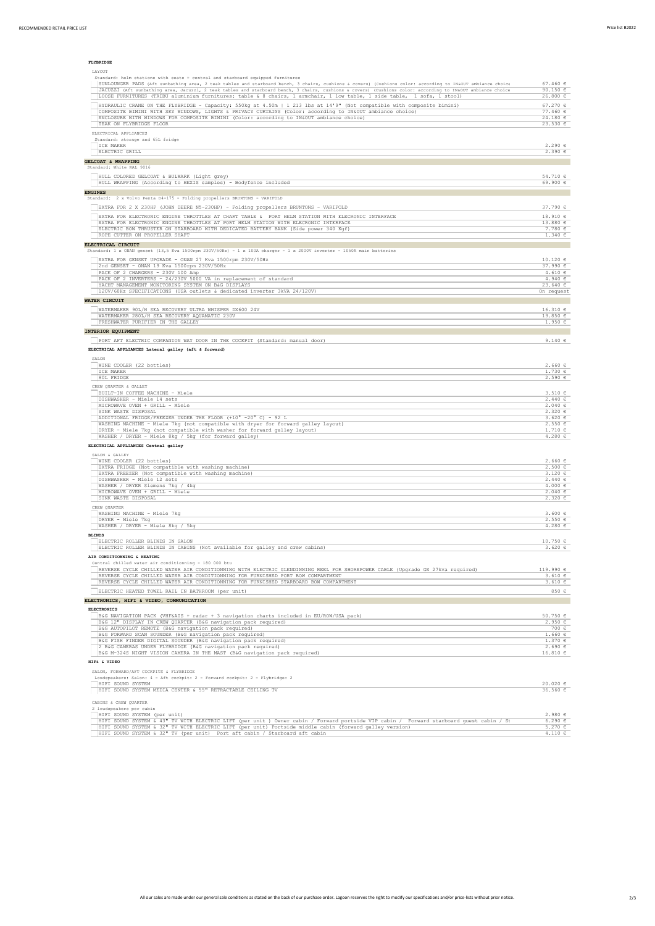| FLYBRIDGE                                                                                                                                                                                                                                    |                                   |
|----------------------------------------------------------------------------------------------------------------------------------------------------------------------------------------------------------------------------------------------|-----------------------------------|
| LAYOUT                                                                                                                                                                                                                                       |                                   |
| Standard: helm stations with seats + central and starboard equipped furnitures<br>SUNLOUNGER PADS (Aft sunbathing area, 2 teak tables and starboard bench, 3 chairs, cushions & covers) (Cushions color: according to IN&OUT ambiance choice | 67.460 $\in$                      |
| JACUZZI (Aft sunbathing area, Jacuzzi, 2 teak tables and starboard bench, 3 chairs, cushions & covers) (Cushions color: according to IN&OUT ambiance choice                                                                                  | 90.150 $\epsilon$                 |
| LOOSE FURNITURES (TRIBU aluminium furnitures: table & 8 chairs, 1 armchair, 1 low table, 1 side table, 1 sofa, 1 stool)                                                                                                                      | 26.800 €                          |
| HYDRAULIC CRANE ON THE FLYBRIDGE - Capacity: 550kg at 4.50m   1 213 lbs at 14'9" (Not compatible with composite bimini)                                                                                                                      | 67.270 €                          |
| COMPOSITE BIMINI WITH SKY WINDOWS, LIGHTS & PRIVACY CURTAINS (Color: according to IN&OUT ambiance choice)<br>ENCLOSURE WITH WINDOWS FOR COMPOSITE BIMINI (Color: according to IN&OUT ambiance choice)                                        | 77.460 €<br>24.180 €              |
| TEAK ON FLYBRIDGE FLOOR                                                                                                                                                                                                                      | 23.530 €                          |
| ELECTRICAL APPLIANCES                                                                                                                                                                                                                        |                                   |
| Standard: storage and 65L fridge                                                                                                                                                                                                             |                                   |
| ICE MAKER                                                                                                                                                                                                                                    | 2.290 ∈                           |
| ELECTRIC GRILL                                                                                                                                                                                                                               | $2.390$ $\in$                     |
| GELCOAT & WRAPPING<br>Standard: White RAL 9016                                                                                                                                                                                               |                                   |
| HULL COLORED GELCOAT & BULWARK (Light grey)                                                                                                                                                                                                  | 54.710 €                          |
| HULL WRAPPING (According to HEXIS samples) - Bodyfence included                                                                                                                                                                              | 69.900 €                          |
| <b>ENGINES</b>                                                                                                                                                                                                                               |                                   |
| Standard: 2 x Volvo Penta D4-175 - Folding propellers BRUNTONS - VARIFOLD                                                                                                                                                                    |                                   |
| EXTRA FOR 2 X 230HP (JOHN DEERE N5-230HP) - Folding propellers BRUNTONS - VARIFOLD                                                                                                                                                           | 37.790 €                          |
| EXTRA FOR ELECTRONIC ENGINE THROTTLES AT CHART TABLE & PORT HELM STATION WITH ELECRONIC INTERFACE                                                                                                                                            | $18.910 \text{ } \in$             |
| EXTRA FOR ELECTRONIC ENGINE THROTTLES AT PORT HELM STATION WITH ELECRONIC INTERFACE                                                                                                                                                          | 13.880 €                          |
| ELECTRIC BOW THRUSTER ON STARBOARD WITH DEDICATED BATTERY BANK (Side power 340 Kgf)                                                                                                                                                          | $7.780 \in$                       |
| ROPE CUTTER ON PROPELLER SHAFT                                                                                                                                                                                                               | $1.340 \text{ } \in$              |
| ELECTRICAL CIRCUIT                                                                                                                                                                                                                           |                                   |
| Standard: 1 x ONAN genset (13,5 Kva 1500rpm 230V/50Hz) - 1 x 100A charger - 1 x 2000V inverter - 1050A main batteries                                                                                                                        |                                   |
| EXTRA FOR GENSET UPGRADE - ONAN 27 Kva 1500rpm 230V/50Hz<br>2nd GENSET - ONAN 19 Kva 1500rpm 230V/50Hz                                                                                                                                       | $10.120 \text{ } \in$<br>37.990 € |
| PACK OF 2 CHARGERS - 230V 100 Amp                                                                                                                                                                                                            | 4.610∈                            |
| PACK OF 2 INVERTERS - 24/230V 5000 VA in replacement of standard                                                                                                                                                                             | 4.940 $\in$                       |
| YACHT MANAGEMENT MONITORING SYSTEM ON B&G DISPLAYS<br>120V/60Hz SPECIFICATIONS (USA outlets & dedicated inverter 3kVA 24/120V)                                                                                                               | 23.640 €<br>On request            |
|                                                                                                                                                                                                                                              |                                   |
| <b>WATER CIRCUIT</b>                                                                                                                                                                                                                         |                                   |
| WATERMAKER 90L/H SEA RECOVERY ULTRA WHISPER DX600 24V<br>WATERMAKER 280L/H SEA RECOVERY AQUAMATIC 230V                                                                                                                                       | $16.310 \text{ } \in$<br>19.850 € |
| FRESHWATER PURIFIER IN THE GALLEY                                                                                                                                                                                                            | $1.950 \text{ } \in$              |
| INTERIOR EOUIPMENT                                                                                                                                                                                                                           |                                   |
| PORT AFT ELECTRIC COMPANION WAY DOOR IN THE COCKPIT (Standard: manual door)                                                                                                                                                                  | 9.140 $\epsilon$                  |
| ELECTRICAL APPLIANCES Lateral galley (aft & forward)                                                                                                                                                                                         |                                   |
|                                                                                                                                                                                                                                              |                                   |
| SALON<br>WINE COOLER (22 bottles)                                                                                                                                                                                                            | $2.660 \text{ } \in$              |
| ICE MAKER                                                                                                                                                                                                                                    | $1.730 \text{ } \in$              |
| 80L FRIDGE                                                                                                                                                                                                                                   | 2.590 ∈                           |
| CREW QUARTER & GALLEY                                                                                                                                                                                                                        |                                   |
| BUILT-IN COFFEE MACHINE - Miele<br>DISHWASHER - Miele 14 sets                                                                                                                                                                                | $3.510 \text{ } \in$<br>2.440 ∈   |
| MICROWAVE OVEN + GRILL - Miele                                                                                                                                                                                                               | 2.040 ∈                           |
| SINK WASTE DISPOSAL                                                                                                                                                                                                                          | $2.320 \text{ } \in$              |
| ADDITIONAL FRIDGE/FREEZER UNDER THE FLOOR (+10° -20° C) - 92 L                                                                                                                                                                               | 3.620 $\in$<br>2.550 ∈            |
| WASHING MACHINE - Miele 7kg (not compatible with dryer for forward galley layout)<br>DRYER - Miele 7kg (not compatible with washer for forward galley layout)                                                                                | 1.710E                            |
| WASHER / DRYER - Miele 8kg / 5kg (for forward galley)                                                                                                                                                                                        | $4.280 \text{ } \in$              |
| ELECTRICAL APPLIANCES Central galley                                                                                                                                                                                                         |                                   |
| SALON & GALLEY                                                                                                                                                                                                                               |                                   |
| WINE COOLER (22 bottles)                                                                                                                                                                                                                     | $2.660 \text{ } \in$              |
| EXTRA FRIDGE (Not compatible with washing machine)                                                                                                                                                                                           | 2,500∈<br>$3.120$ €               |
| EXTRA FREEZER (Not compatible with washing machine)<br>DISHWASHER - Miele 12 sets                                                                                                                                                            | 2.440∈                            |
| WASHER / DRYER Siemens 7kg / 4kg                                                                                                                                                                                                             | 4.000 ∈                           |
| MICROWAVE OVEN + GRILL - Miele                                                                                                                                                                                                               | 2.040€                            |
| SINK WASTE DISPOSAL                                                                                                                                                                                                                          | $2.320$ $\epsilon$                |
| CREW QUARTER<br>WASHING MACHINE - Miele 7kg                                                                                                                                                                                                  | $3.600 \text{ } \in$              |
| DRYER - Miele 7kg                                                                                                                                                                                                                            | 2,550∈                            |
| WASHER / DRYER - Miele 8kg / 5kg                                                                                                                                                                                                             | 4.280€                            |
| <b>BLINDS</b>                                                                                                                                                                                                                                |                                   |
| ELECTRIC ROLLER BLINDS IN SALON                                                                                                                                                                                                              | 10.750 €                          |
| ELECTRIC ROLLER BLINDS IN CABINS (Not available for galley and crew cabins)                                                                                                                                                                  | $3.620$ $\in$                     |
| AIR CONDITIONNING & HEATING                                                                                                                                                                                                                  |                                   |
| Central chilled water air conditionning - 180 000 btu<br>REVERSE CYCLE CHILLED WATER AIR CONDITIONNING WITH ELECTRIC GLENDINNING REEL FOR SHOREPOWER CABLE (Upgrade GE 27kva required)                                                       | 119.990 €                         |
| REVERSE CYCLE CHILLED WATER AIR CONDITIONNING FOR FURNISHED PORT BOW COMPARTMENT                                                                                                                                                             | 3.610 E                           |
| REVERSE CYCLE CHILLED WATER AIR CONDITIONNING FOR FURNISHED STARBOARD BOW COMPARTMENT                                                                                                                                                        | $3.610$ $\in$                     |
| ELECTRIC HEATED TOWEL RAIL IN BATHROOM (per unit)                                                                                                                                                                                            | 850 €                             |
| ELECTRONICS, HIFI & VIDEO, COMMUNICATION                                                                                                                                                                                                     |                                   |
| <b>ELECTRONICS</b>                                                                                                                                                                                                                           |                                   |
| B&G NAVIGATION PACK (VHF&AIS + radar + 3 navigation charts included in EU/ROW/USA pack)                                                                                                                                                      | $50.750 \text{ } \in$             |
| B&G 12" DISPLAY IN CREW QUARTER (B&G navigation pack required)<br>B&G AUTOPILOT REMOTE (B&G navigation pack required)                                                                                                                        | $2.950$ €<br>700 €                |
| B&G FORWARD SCAN SOUNDER (B&G navigation pack required)                                                                                                                                                                                      | $1.660 \text{ } \in$              |
| B&G FISH FINDER DIGITAL SOUNDER (B&G navigation pack required)                                                                                                                                                                               | $1.370 \text{ } \in$              |
| 2 B&G CAMERAS UNDER FLYBRIDGE (B&G navigation pack required)                                                                                                                                                                                 | $2.690 \text{ } \in$              |
| B&G M-324S NIGHT VISION CAMERA IN THE MAST (B&G navigation pack required)                                                                                                                                                                    | 16.810 €                          |
| HIFi & VIDEO                                                                                                                                                                                                                                 |                                   |
| SALON, FORWARD/AFT COCKPITS & FLYBRIDGE                                                                                                                                                                                                      |                                   |
| Loudspeakers: Salon: 4 - Aft cockpit: 2 - Forward cockpit: 2 - Flybridge: 2<br>HIFI SOUND SYSTEM                                                                                                                                             | 20.020 €                          |

HIFI SOUND SYSTEM 20.020 € 20.020 € 20.020 € 20.020 € 20.020 € 20.020 € 20.020 € 20.020 € 20.020 € 20.020 € 20<br>HIFI SOUND SYSTEM MEDIA CENTER & 55" RETRACTABLE CEILING TV CABINS & CREW QUARTER<br>2 loudspeakers per cabin<br>HIFI SOUND SYSTEM (per unit) (Per unit) OWner cabin / Forward portside VIP cabin / Forward starboard guest cabin / St<br>HIFI SOUND SYSTEM & 32" TV WITH ELECTRIC LIFT (per unit)